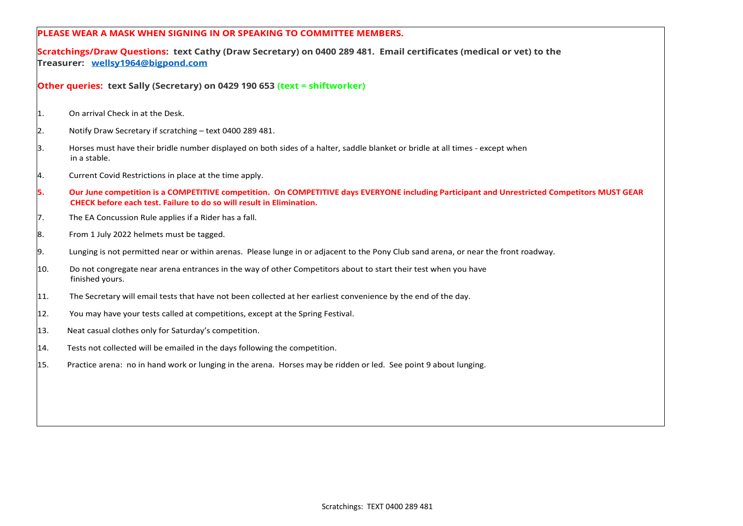|      | <b>PLEASE WEAR A MASK WHEN SIGNING IN OR SPEAKING TO COMMITTEE MEMBERS.</b>                                                                                                                                          |
|------|----------------------------------------------------------------------------------------------------------------------------------------------------------------------------------------------------------------------|
|      | Scratchings/Draw Questions: text Cathy (Draw Secretary) on 0400 289 481. Email certificates (medical or vet) to the<br>Treasurer: wellsy1964@bigpond.com                                                             |
|      | Other queries: text Sally (Secretary) on 0429 190 653 (text = shiftworker)                                                                                                                                           |
| 11.  | On arrival Check in at the Desk.                                                                                                                                                                                     |
| 2.   | Notify Draw Secretary if scratching - text 0400 289 481.                                                                                                                                                             |
| 3.   | Horses must have their bridle number displayed on both sides of a halter, saddle blanket or bridle at all times - except when<br>in a stable.                                                                        |
| 4.   | Current Covid Restrictions in place at the time apply.                                                                                                                                                               |
| 5.   | Our June competition is a COMPETITIVE competition. On COMPETITIVE days EVERYONE including Participant and Unrestricted Competitors MUST GEAR<br>CHECK before each test. Failure to do so will result in Elimination. |
| 7.   | The EA Concussion Rule applies if a Rider has a fall.                                                                                                                                                                |
| 8.   | From 1 July 2022 helmets must be tagged.                                                                                                                                                                             |
| 9.   | Lunging is not permitted near or within arenas. Please lunge in or adjacent to the Pony Club sand arena, or near the front roadway.                                                                                  |
| l10. | Do not congregate near arena entrances in the way of other Competitors about to start their test when you have<br>finished yours.                                                                                    |
| 11.  | The Secretary will email tests that have not been collected at her earliest convenience by the end of the day.                                                                                                       |
| 12.  | You may have your tests called at competitions, except at the Spring Festival.                                                                                                                                       |
| 13.  | Neat casual clothes only for Saturday's competition.                                                                                                                                                                 |
| 14.  | Tests not collected will be emailed in the days following the competition.                                                                                                                                           |
| 15.  | Practice arena: no in hand work or lunging in the arena. Horses may be ridden or led. See point 9 about lunging.                                                                                                     |
|      |                                                                                                                                                                                                                      |
|      |                                                                                                                                                                                                                      |
|      |                                                                                                                                                                                                                      |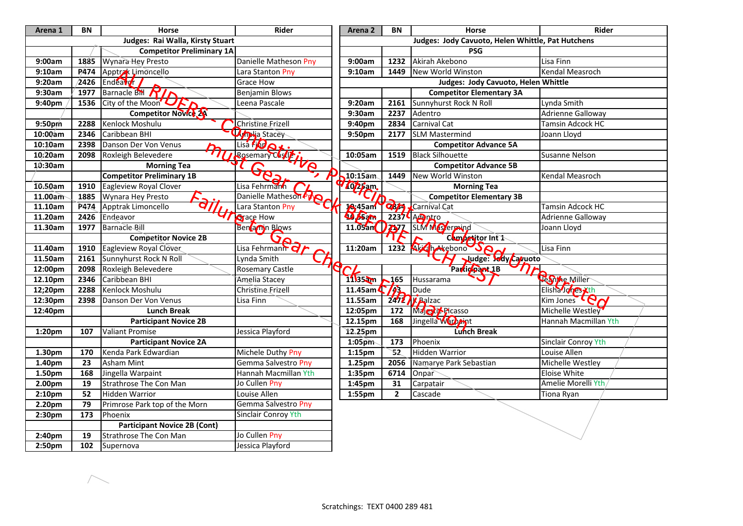| Arena 1 | BN               | <b>Horse</b>                                      | Rider                          | Arena 2                    | BN                       | Horse                                             | Rider                      |
|---------|------------------|---------------------------------------------------|--------------------------------|----------------------------|--------------------------|---------------------------------------------------|----------------------------|
|         |                  | Judges: Rai Walla, Kirsty Stuart                  |                                |                            |                          | Judges: Jody Cavuoto, Helen Whittle, Pat Hutchens |                            |
|         |                  | <b>Competitor Preliminary 1A</b>                  |                                |                            |                          | <b>PSG</b>                                        |                            |
| 9:00am  | 1885             | Wynara Hey Presto                                 | Danielle Matheson Pny          | 9:00am                     | 1232                     | Akirah Akebono                                    | Lisa Finn                  |
| 9:10am  | P <sub>474</sub> | Apptrak Limoncello                                | Lara Stanton Pny               | 9:10am                     | 1449                     | New World Winston                                 | Kendal Measroch            |
| 9:20am  | $\sqrt{2426}$    | Endeaver                                          | Grace How                      |                            |                          | Judges: Jody Cavuoto, Helen Whittle               |                            |
| 9:30am  | 1977             | Barnacle BH RIA                                   | <b>Benjamin Blows</b>          |                            |                          | <b>Competitor Elementary 3A</b>                   |                            |
| 9:40pm  | 1536             | City of the Moon <sup>'</sup> UF                  | Leena Pascale                  | 9:20am                     | 2161                     | Sunnyhurst Rock N Roll                            | Lynda Smith                |
|         |                  | Competitor Novice 2A                              |                                | 9:30am                     | 2237                     | Adentro                                           | <b>Adrienne Galloway</b>   |
| 9:50pm  | 2288             | Kenlock Moshulu                                   | Christine Frizell              | 9:40pm                     | 2834                     | <b>Carnival Cat</b>                               | <b>Tamsin Adcock HC</b>    |
| 10:00am | 2346             | Caribbean BHI                                     | Mpija Stacey                   | 9:50pm                     | 2177                     | <b>SLM Mastermind</b>                             | Joann Lloyd                |
| 10:10am | 2398             | Danson Der Von Venus<br>$\mathbf{p}_{\mathbf{q}}$ | Lisa FIDQX.                    |                            |                          | <b>Competitor Advance 5A</b>                      |                            |
| 10:20am |                  | 2098 Roxleigh Belevedere                          | Elisa Franco de Transformation | 10:05am                    | 1519                     | <b>Black Silhouette</b>                           | <b>Susanne Nelson</b>      |
| 10:30am |                  | <b>Morning Tea</b>                                | $-6e^2$                        |                            |                          | <b>Competitor Advance 5B</b>                      |                            |
|         |                  | <b>Competitor Preliminary 1B</b>                  | ↗                              | $10:15$ am                 | 1449                     | <b>New World Winston</b>                          | <b>Kendal Measroch</b>     |
| 10.50am | 1910             | Eagleview Royal Clover                            | Lisa Fehrmann                  | 1025am                     |                          | <b>Morning Tea</b>                                |                            |
| 11.00am |                  | 1885 Wynara Hey Presto                            | Danielle Matheson Pro          |                            |                          | <b>Competitor Elementary 3B</b>                   |                            |
| 11.10am | P474             | Apptrak Limoncello<br>97                          | Lara Stanton Pny               | 16,45am                    |                          | <b>Q869</b> Carnival Cat                          | Tamsin Adcock HC           |
| 11.20am | 2426             | Endeavor                                          | <b>V Agrace How</b>            | <b>Q</b> ps <sub>a</sub> m |                          | $2237$ <sup>C</sup> A <sub>c</sub> aptro          | <b>Adrienne Galloway</b>   |
| 11.30am | 1977             | Barnacle Bill                                     | Ben amn Blows                  |                            |                          | 11.05an 777 SLM Mestermind                        | Joann Lloyd                |
|         |                  | <b>Competitor Novice 2B</b>                       | <b>גי</b>                      |                            |                          | Competitor Int 1                                  |                            |
| 11.40am | 1910             | Eagleview Royal Clover                            | Lisa Fehrmann Or               | 11:20am                    |                          | 1232 Aliceh Akebono JA                            | Lisa Finn                  |
| 11.50am |                  | 2161 Sunnyhurst Rock N Roll                       | Lynda Smith                    |                            |                          | Judge: Jody Caruoto                               |                            |
| 12:00pm | 2098             | Roxleigh Belevedere                               | Rosemary Castle                |                            |                          | Participant 1B                                    |                            |
| 12.10pm | 2346             | Caribbean BHI                                     | Amelia Stacey                  | 1135am                     | $\sqrt{165}$             | Hussarama                                         | Jeanne Miller              |
| 12;20pm | 2288             | Kenlock Moshulu                                   | Christine Frizell              | 11.45am $\binom{7}{4}$     |                          | <b>Dude</b>                                       | Elisha Johes Xth           |
| 12:30pm | 2398             | Danson Der Von Venus                              | Lisa Finn                      | 11.55am                    |                          | $2472$ <b>K</b> Balzac                            | Kim Jones CO <sub>N</sub>  |
| 12:40pm |                  | <b>Lunch Break</b>                                |                                | 12:05pm                    | 172                      | Majoty Picasso                                    | Michelle Westley           |
|         |                  | <b>Participant Novice 2B</b>                      |                                | 12.15pm                    | 168                      | Jingella Warbeint                                 | Hannah Macmillan Yth       |
| 1:20pm  | 107              | <b>Valiant Promise</b>                            | Jessica Playford               | 12.25pm                    |                          | Lunch Break                                       |                            |
|         |                  | <b>Participant Novice 2A</b>                      |                                | $1:05$ pm                  | $\frac{1}{173}$          | Phoenix                                           | <b>Sinclair Conroy Yth</b> |
| 1.30pm  | 170              | Kenda Park Edwardian                              | Michele Duthy Pny              | $1:15$ pm                  | $\overline{\mathbf{52}}$ | <b>Hidden Warrior</b>                             | Louise Allen               |
| 1.40pm  | 23               | <b>Asham Mint</b>                                 | Gemma Salvestro Pny            | 1.25pm                     | 2056                     | Namarye Park Sebastian                            | Michelle Westley           |
| 1.50pm  | 168              | Jingella Warpaint                                 | Hannah Macmillan Yth           | 1:35pm                     | 6714                     | Onpar                                             | <b>Eloise White</b>        |
| 2.00pm  | 19               | <b>Strathrose The Con Man</b>                     | Jo Cullen Pny                  | 1:45pm                     | 31                       | Carpatair                                         | Amelie Morelli Yth         |
| 2:10pm  | 52               | <b>Hidden Warrior</b>                             | Louise Allen                   | 1:55pm                     | $\mathbf{2}$             | Cascade                                           | Tiona Ryan                 |
| 2.20pm  | 79               | Primrose Park top of the Morn                     | Gemma Salvestro Pny            |                            |                          |                                                   |                            |
| 2:30pm  | 173              | Phoenix                                           | <b>Sinclair Conroy Yth</b>     |                            |                          |                                                   |                            |
|         |                  | <b>Participant Novice 2B (Cont)</b>               |                                |                            |                          |                                                   |                            |
| 2:40pm  | 19               | <b>Strathrose The Con Man</b>                     | Jo Cullen Pny                  |                            |                          |                                                   |                            |
| 2:50pm  | 102              | Supernova                                         | Jessica Playford               |                            |                          |                                                   |                            |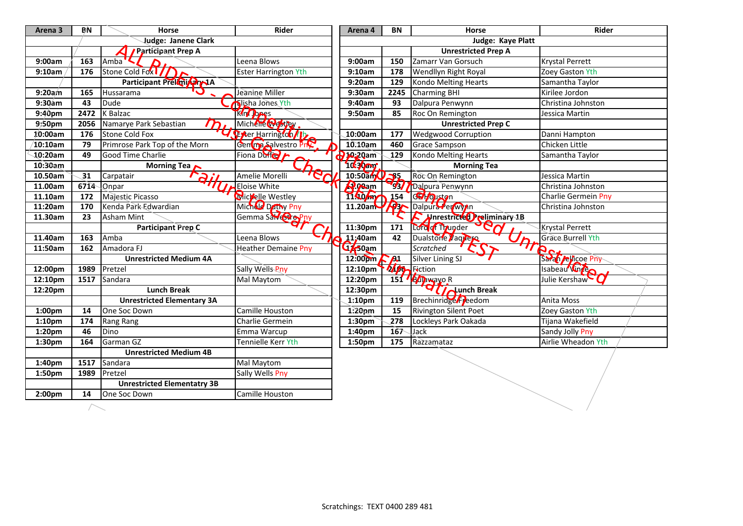| Arena <sub>3</sub> | ΒN   | Horse                                | Rider                       | Arena 4             | ΒN            | <b>Horse</b>                          | <b>Rider</b>               |
|--------------------|------|--------------------------------------|-----------------------------|---------------------|---------------|---------------------------------------|----------------------------|
|                    |      | <b>Judge: Janene Clark</b>           |                             |                     |               | Judge: Kaye Platt                     |                            |
|                    |      | Participant Prep A                   |                             |                     |               | <b>Unrestricted Prep A</b>            |                            |
| 9:00am             | 163  | Amba                                 | Leena Blows                 | 9:00am              | 150           | Zamarr Van Gorsuch                    | Krystal Perrett            |
| 9:10am             | 176  | Stone Cold Fox 1/1                   | <b>Ester Harrington Yth</b> | 9:10am              | 178           | Wendllyn Right Royal                  | Zoey Gaston Yth            |
|                    |      | Participant Preknight 1A             |                             | 9:20am              | 129           | <b>Kondo Melting Hearts</b>           | Samantha Taylor            |
| 9:20am             | 165  | Hussarama                            | Jeanine Miller              | 9:30am              | 2245          | <b>Charming BHI</b>                   | Kirilee Jordon             |
| $9:30$ am          | 43   | <b>Dude</b>                          | Slisha Jones Yth            | 9:40am              | 93            | Dalpura Penwynn                       | Christina Johnston         |
| 9:40pm             | 2472 | K Balzac                             | <b>King Jones</b>           | 9:50am              | 85            | Roc On Remington                      | Jessica Martin             |
| 9:50pm             | 2056 | Namarye Park Sebastian<br>$\bm{m}_I$ | Michelle Westley            |                     |               | <b>Unrestricted Prep C</b>            |                            |
| 10:00am            | 176  | <b>Stone Cold Fox</b>                | Frer Harrington /1          | 10:00am             | 177           | <b>Wedgwood Corruption</b>            | Danni Hampton              |
| $\sqrt{10:}10$ am  | 79   | Primrose Park Top of the Morn        | Gening Salvestro PnC        | 10.10am             | 460           | <b>Grace Sampson</b>                  | Chicken Little             |
| $10:20$ am         | 49   | <b>Good Time Charlie</b>             | Fiona Duffel                | <b>Jo:20am</b>      | 129           | <b>Kondo Melting Hearts</b>           | Samantha Taylor            |
| 10:30am            |      | Morning Tea $\sim$                   |                             | 10 Jan              |               | <b>Morning Tea</b>                    |                            |
| 10.50am            | 31   | Carpatair                            | Amelie Morelli              | 10:50a              | 35            | Roc On Remington                      | Jessica Martin             |
| 11.00am            | 6714 | Onpar                                | Eloise White                | <b>P.geam</b>       | $\mathcal{F}$ | Dalpura Penwynn                       | Christina Johnston         |
| 11.10am            | 172  | Majestic Picasso                     | Micrelle Westley            | 11.40 m             | 154           | Gel-Ouston                            | <b>Charlie Germein Pny</b> |
| 11:20am            | 170  | Kenda Park Edwardian                 | Michald Dathy Pny           | 11.20am             |               | <b>P3 Dalpura Perwyin</b>             | Christina Johnston         |
| 11.30am            | 23   | Asham Mint                           | Gemma Salvesto Pny          |                     |               | Morestricted reliminary 1B            |                            |
|                    |      | <b>Participant Prep C</b>            |                             | 11:30pm             | 171           | Lord of Thunder                       | Krystal Perrett            |
| 11.40am            | 163  | Amba                                 | Leena Blows                 | 11;40am             | 42            | Dualstone <b>Vaquero</b><br><u>Jh</u> | <b>Grace Burrell Yth</b>   |
| 11:50am            | 162  | Amadora FJ                           | <b>Heather Demaine Pny</b>  | 4750am              |               | Scratched                             | thee                       |
|                    |      | <b>Unrestricted Medium 4A</b>        |                             | 12:00pm             | $\Gamma$ Al   | <b>Silver Lining SJ</b>               | Sarah <i>j</i> ellicoe Pny |
| 12:00pm            | 1989 | Pretzel                              | Sally Wells Pny             | 12:10 <sub>pm</sub> | 2400          | Fiction                               | Isabeau Vincen             |
| 12:10pm            | 1517 | Sandara                              | Mal Maytom                  | 12:20pm             |               | 151 / <b>Bulawayo R</b>               | Julie Kershaw              |
| 12:20pm            |      | <b>Lunch Break</b>                   |                             | 12:30pm             |               | $\sigma$ $\sim$ Lunch Break           |                            |
|                    |      | <b>Unrestricted Elementary 3A</b>    |                             | 1:10 <sub>pm</sub>  | 119           | Brechinridge Fleedom                  | Anita Moss                 |
| 1:00pm             | 14   | One Soc Down                         | Camille Houston             | $1:20$ pm           | 15            | <b>Rivington Silent Poet</b>          | Zoey Gaston Yth            |
| 1:10 <sub>pm</sub> | 174  | Rang Rang                            | Charlie Germein             | 1:30 <sub>pm</sub>  | 278           | Lockleys Park Oakada                  | Tijana Wakefield           |
| 1:20pm             | 46   | Dino                                 | Emma Warcup                 | 1:40pm              | 167           | Jack                                  | <b>Sandy Jolly Pny</b>     |
| 1:30pm             | 164  | Garman GZ                            | Tennielle Kerr Yth          | 1:50pm              | 175           | Razzamataz                            | Airlie Wheadon Yth         |
|                    |      | <b>Unrestricted Medium 4B</b>        |                             |                     |               |                                       |                            |
| 1:40pm             | 1517 | Sandara                              | Mal Maytom                  |                     |               |                                       |                            |
| 1:50pm             | 1989 | Pretzel                              | Sally Wells Pny             |                     |               |                                       |                            |
|                    |      | <b>Unrestricted Elementatry 3B</b>   |                             |                     |               |                                       |                            |
| 2:00 <sub>pm</sub> | 14   | One Soc Down                         | <b>Camille Houston</b>      |                     |               |                                       |                            |

 $\overline{\phantom{1}}$